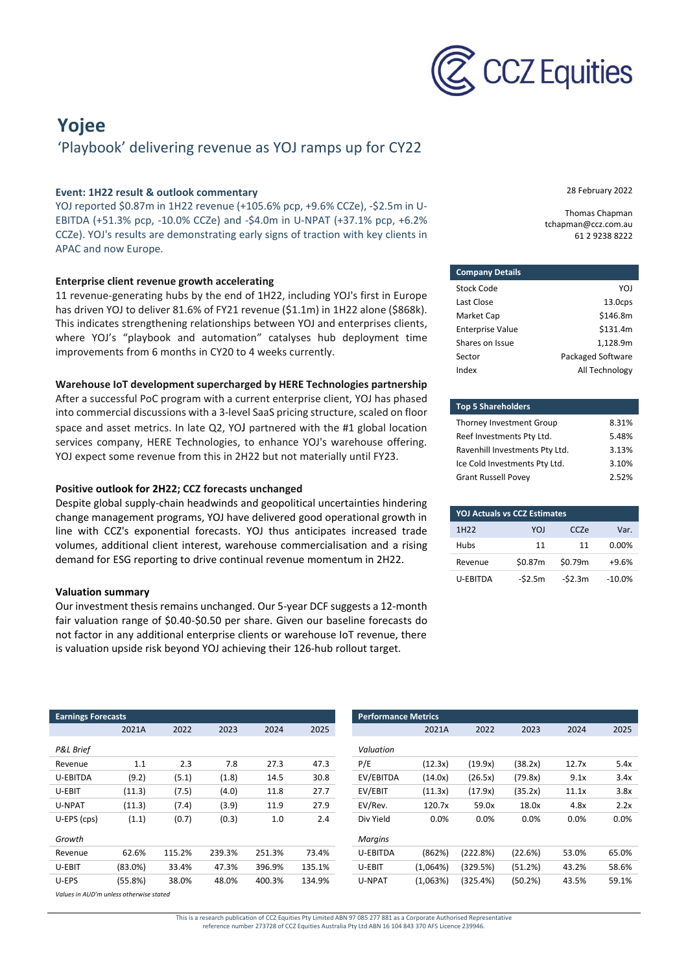

## **Yojee** 'Playbook' delivering revenue as YOJ ramps up for CY22

#### **Event: 1H22 result & outlook commentary**

YOJ reported \$0.87m in 1H22 revenue (+105.6% pcp, +9.6% CCZe), -\$2.5m in U-EBITDA (+51.3% pcp, -10.0% CCZe) and -\$4.0m in U-NPAT (+37.1% pcp, +6.2% CCZe). YOJ's results are demonstrating early signs of traction with key clients in APAC and now Europe.

#### **Enterprise client revenue growth accelerating**

11 revenue-generating hubs by the end of 1H22, including YOJ's first in Europe has driven YOJ to deliver 81.6% of FY21 revenue (\$1.1m) in 1H22 alone (\$868k). This indicates strengthening relationships between YOJ and enterprises clients, where YOJ's "playbook and automation" catalyses hub deployment time improvements from 6 months in CY20 to 4 weeks currently.

#### **Warehouse IoT development supercharged by HERE Technologies partnership**

After a successful PoC program with a current enterprise client, YOJ has phased into commercial discussions with a 3-level SaaS pricing structure, scaled on floor space and asset metrics. In late Q2, YOJ partnered with the #1 global location services company, HERE Technologies, to enhance YOJ's warehouse offering. YOJ expect some revenue from this in 2H22 but not materially until FY23.

#### **Positive outlook for 2H22; CCZ forecasts unchanged**

Despite global supply-chain headwinds and geopolitical uncertainties hindering change management programs, YOJ have delivered good operational growth in line with CCZ's exponential forecasts. YOJ thus anticipates increased trade volumes, additional client interest, warehouse commercialisation and a rising demand for ESG reporting to drive continual revenue momentum in 2H22.

#### **Valuation summary**

Our investment thesis remains unchanged. Our 5-year DCF suggests a 12-month fair valuation range of \$0.40-\$0.50 per share. Given our baseline forecasts do not factor in any additional enterprise clients or warehouse IoT revenue, there is valuation upside risk beyond YOJ achieving their 126-hub rollout target.

28 February 2022

Thomas Chapman tchapman@ccz.com.au 61 2 9238 8222

| <b>Company Details</b>  |                     |
|-------------------------|---------------------|
| Stock Code              | YOI                 |
| Last Close              | 13.0 <sub>CPS</sub> |
| Market Cap              | \$146.8m            |
| <b>Enterprise Value</b> | \$131.4m            |
| Shares on Issue         | 1,128.9m            |
| Sector                  | Packaged Software   |
| Index                   | All Technology      |

| <b>Top 5 Shareholders</b>      |       |
|--------------------------------|-------|
| Thorney Investment Group       | 8.31% |
| Reef Investments Pty Ltd.      | 5.48% |
| Ravenhill Investments Pty Ltd. | 3.13% |
| Ice Cold Investments Pty Ltd.  | 3.10% |
| <b>Grant Russell Povey</b>     | 2.52% |

| <b>YOJ Actuals vs CCZ Estimates</b> |          |         |           |  |  |  |
|-------------------------------------|----------|---------|-----------|--|--|--|
| 1H <sub>22</sub>                    | YOI      | CC7e    | Var.      |  |  |  |
| Hubs                                | 11       | 11      | 0.00%     |  |  |  |
| Revenue                             | \$0.87m  | \$0.79m | $+9.6%$   |  |  |  |
| <b>U-FRITDA</b>                     | $-52.5m$ | -\$2.3m | $-10.0\%$ |  |  |  |

| <b>Earnings Forecasts</b>               |         |        |        |        |        |                 | <b>Performance Metrics</b> |          |         |       |
|-----------------------------------------|---------|--------|--------|--------|--------|-----------------|----------------------------|----------|---------|-------|
|                                         | 2021A   | 2022   | 2023   | 2024   | 2025   |                 | 2021A                      | 2022     | 2023    | 2024  |
| <b>P&amp;L Brief</b>                    |         |        |        |        |        | Valuation       |                            |          |         |       |
| Revenue                                 | 1.1     | 2.3    | 7.8    | 27.3   | 47.3   | P/E             | (12.3x)                    | (19.9x)  | (38.2x) | 12.7x |
| U-EBITDA                                | (9.2)   | (5.1)  | (1.8)  | 14.5   | 30.8   | EV/EBITDA       | (14.0x)                    | (26.5x)  | (79.8x) | 9.1x  |
| U-EBIT                                  | (11.3)  | (7.5)  | (4.0)  | 11.8   | 27.7   | EV/EBIT         | (11.3x)                    | (17.9x)  | (35.2x) | 11.1x |
| U-NPAT                                  | (11.3)  | (7.4)  | (3.9)  | 11.9   | 27.9   | EV/Rev.         | 120.7x                     | 59.0x    | 18.0x   | 4.8x  |
| U-EPS (cps)                             | (1.1)   | (0.7)  | (0.3)  | 1.0    | 2.4    | Div Yield       | 0.0%                       | $0.0\%$  | 0.0%    | 0.0%  |
| Growth                                  |         |        |        |        |        | <b>Margins</b>  |                            |          |         |       |
| Revenue                                 | 62.6%   | 115.2% | 239.3% | 251.3% | 73.4%  | <b>U-EBITDA</b> | (862%)                     | (222.8%) | (22.6%) | 53.0% |
| U-EBIT                                  | (83.0%) | 33.4%  | 47.3%  | 396.9% | 135.1% | U-EBIT          | (1,064%)                   | (329.5%) | (51.2%) | 43.2% |
| U-EPS                                   | (55.8%) | 38.0%  | 48.0%  | 400.3% | 134.9% | U-NPAT          | (1,063%)                   | (325.4%) | (50.2%) | 43.5% |
| Values in AUD'm unless otherwise stated |         |        |        |        |        |                 |                            |          |         |       |

This is a research publication of CCZ Equities Pty Limited ABN 97 085 277 881 as a Corporate Authorised Representative reference number 273728 of CCZ Equities Australia Pty Ltd ABN 16 104 843 370 AFS Licence 239946.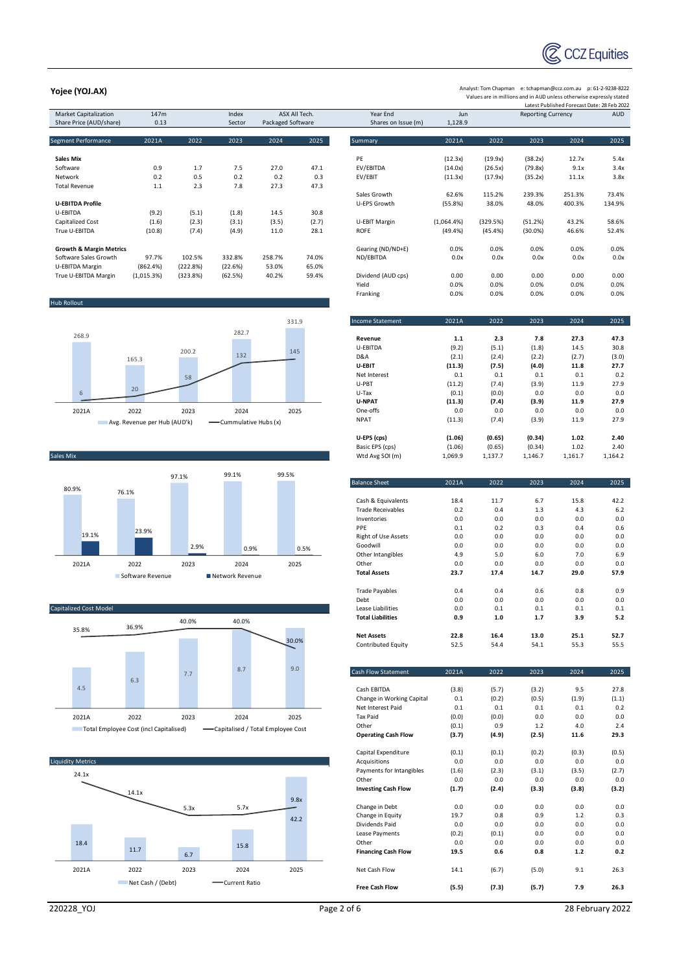

Analyst: Tom Chapman e: tchapman@ccz.com.au p: 61-2-9238-8222 Values are in millions and in AUD unless otherwise expressly stated

### Latest Published Forecast Date: 28 Feb 2022<br>Market Capitalization 147m Index ASX All Tech. Year End Jun Reporting Currency AUD Share Price (AUD/share) 0.13 Sector Packaged Software Shares on Issue (m) 1,128.9 Segment Performance 2021A 2022 2023 2024 2025 Summary 2021A 2022 2023 2024 2025 **Sales Mix** PE (12.3x) (19.9x) (38.2x) 12.7x 5.4x Software 0.9 1.7 7.5 27.0 47.1 EV/EBITDA (14.0x) (26.5x) (79.8x) 9.1x 3.4x Network 0.2 0.5 0.2 0.2 0.3 EV/EBIT (11.3x) (17.9x) (35.2x) 11.1x 3.8x Total Revenue 1.1 2.3 7.8 27.3 47.3 Sales Growth 62.6% 115.2% 239.3% 251.3% 73.4% **U-EBITDA Profile** U-EPS Growth (55.8%) 38.0% 48.0% 400.3% 134.9% U-EBITDA (9.2) (5.1) (1.8) 14.5 30.8 Capitalized Cost (1.6) (2.3) (3.1) (3.5) (2.7) U-EBIT Margin (1,064.4%) (329.5%) (51.2%) 43.2% 58.6% True U-EBITDA (10.8) (7.4) (4.9) 11.0 28.1 ROFE (49.4%) (45.4%) (30.0%) 46.6% 52.4% **Growth & Margin Metrics**<br>**Growth & Margin Metrics** Computer of the Margin Metrics of the State of the State of the State of the State of t<br>
Software Sales Growth 97.7% 102.5% 332.8% 258.7% 74.0% ND/FBITDA 0.0x 0.0x 0.0x 0 Software Sales Growth 97.7% 102.5% 332.8% 258.7% 74.0% ND/EBITDA 0.0x 0.0x 0.0x 0.0x 0.0x U-EBITDA Margin (862.4%) (222.8%) (22.6%) 53.0% 65.0% True U-EBITDA Margin (1,015.3%) (323.8%) (62.5%) 40.2% 59.4% Dividend (AUD cps) 0.00 0.00 0.00 0.00 0.00 Hub Rollout Basic EPS (cps) Sales Mix and the Cales Mix and the Cales Mix and the Cales Mix and the Cales Mix and the Cales Mix and the Cales Mix and the Cales Mix and the Cales Mix and the Cales Mix and the Cales Mix and the Cales Mix and the Cales Capitalized Cost Model Lease Liabilities 0.0 0.1 0.1 0.1 0.1 268.9 165.3 200.2 282.7 331.9 6  $20$ 5 8 <sup>132</sup> <sup>145</sup> 2021A 2022 2023 2024 2025 Avg. Revenue per Hub (AUD'k) - Cummulative Hubs (x) 80.9% 76.1% 97.1% 99.1% 99.5% 19.1% 23.9% 2.9% 0.9% 0.5% 2021A 2022 2023 2024 2025 Software Revenue Network Revenue 35.8% 36.9% 40.0% 40.0% 30.0%

4.5 6.3 7.7 8.7 9.0 2021A 2022 2023 2024 2025 Total Employee Cost (incl Capitalised) Capitalised / Total Employee Cost



**Yojee (YOJ.AX)**

Yield 0.0% 0.0% 0.0% 0.0% 0.0% Franking 0.0% 0.0% 0.0% 0.0% 0.0% Income Statement 2021A 2022 2023 2024 2025 **Revenue 1.1 2.3 7.8 27.3 47.3** U-EBITDA (9.2) (5.1) (1.8) 14.5 30.8 D&A (2.1) (2.4) (2.2) (2.7) (3.0) **U-EBIT (11.3) (7.5) (4.0) 11.8 27.7** Net Interest 0.1 0.1 0.1 0.1 0.2 U-PBT (11.2) (7.4) (3.9) 11.9 27.9 U-Tax (0.1) (0.0) 0.0 0.0 0.0 **U-NPAT (11.3) (7.4) (3.9) 11.9 27.9** One-offs 0.0 0.0 0.0 0.0 0.0 NPAT (11.3) (7.4) (3.9) 11.9 27.9 **U-EPS (cps) (1.06) (0.65) (0.34) 1.02 2.40** Balance Sheet 2021A 2022 2023 2024 2025 Cash & Equivalents 18.4 11.7 6.7 15.8 42.2 Trade Receivables 0.2 0.4 1.3 4.3 6.2 Inventories 0.0 0.0 0.0 0.0 0.0

| <b>ITAGE RECEIVADIES</b>   | U.Z   | υ.4   | 1.3   | 4.3   | o.z   |
|----------------------------|-------|-------|-------|-------|-------|
| Inventories                | 0.0   | 0.0   | 0.0   | 0.0   | 0.0   |
| PPE                        | 0.1   | 0.2   | 0.3   | 0.4   | 0.6   |
| <b>Right of Use Assets</b> | 0.0   | 0.0   | 0.0   | 0.0   | 0.0   |
| Goodwill                   | 0.0   | 0.0   | 0.0   | 0.0   | 0.0   |
| Other Intangibles          | 4.9   | 5.0   | 6.0   | 7.0   | 6.9   |
| Other                      | 0.0   | 0.0   | 0.0   | 0.0   | 0.0   |
| <b>Total Assets</b>        | 23.7  | 17.4  | 14.7  | 29.0  | 57.9  |
|                            |       |       |       |       |       |
| <b>Trade Payables</b>      | 0.4   | 0.4   | 0.6   | 0.8   | 0.9   |
| Debt                       | 0.0   | 0.0   | 0.0   | 0.0   | 0.0   |
| Lease Liabilities          | 0.0   | 0.1   | 0.1   | 0.1   | 0.1   |
| <b>Total Liabilities</b>   | 0.9   | 1.0   | 1.7   | 3.9   | 5.2   |
| <b>Net Assets</b>          | 22.8  | 16.4  | 13.0  | 25.1  | 52.7  |
| Contributed Equity         | 52.5  | 54.4  | 54.1  | 55.3  | 55.5  |
|                            |       |       |       |       |       |
| Cash Flow Statement        | 2021A | 2022  | 2023  | 2024  | 2025  |
|                            |       |       |       |       |       |
| Cash EBITDA                | (3.8) | (5.7) | (3.2) | 9.5   | 27.8  |
| Change in Working Capital  | 0.1   | (0.2) | (0.5) | (1.9) | (1.1) |
| Net Interest Paid          | 0.1   | 0.1   | 0.1   | 0.1   | 0.2   |
| <b>Tax Paid</b>            | (0.0) | (0.0) | 0.0   | 0.0   | 0.0   |
| Other                      | (0.1) | 0.9   | 1.2   | 4.0   | 2.4   |
| <b>Operating Cash Flow</b> | (3.7) | (4.9) | (2.5) | 11.6  | 29.3  |
| Capital Expenditure        | (0.1) | (0.1) | (0.2) | (0.3) | (0.5) |
| Acquisitions               | 0.0   | 0.0   | 0.0   | 0.0   | 0.0   |
| Payments for Intangibles   | (1.6) | (2.3) | (3.1) | (3.5) | (2.7) |
| Other                      | 0.0   | 0.0   | 0.0   | 0.0   | 0.0   |
| <b>Investing Cash Flow</b> | (1.7) | (2.4) | (3.3) | (3.8) | (3.2) |
| Change in Debt             | 0.0   | 0.0   | 0.0   | 0.0   | 0.0   |
| Change in Equity           | 19.7  | 0.8   | 0.9   | 1.2   | 0.3   |
| Dividends Paid             | 0.0   | 0.0   | 0.0   | 0.0   | 0.0   |
| Lease Payments             | (0.2) | (0.1) | 0.0   | 0.0   | 0.0   |
| Other                      | 0.0   | 0.0   | 0.0   | 0.0   | 0.0   |
| <b>Financing Cash Flow</b> | 19.5  | 0.6   | 0.8   | $1.2$ | 0.2   |
| Net Cash Flow              | 14.1  | (6.7) | (5.0) | 9.1   | 26.3  |
| <b>Free Cash Flow</b>      | (5.5) | (7.3) | (5.7) | 7.9   | 26.3  |

220228\_YOJ Page 2 of 6 28 February 2022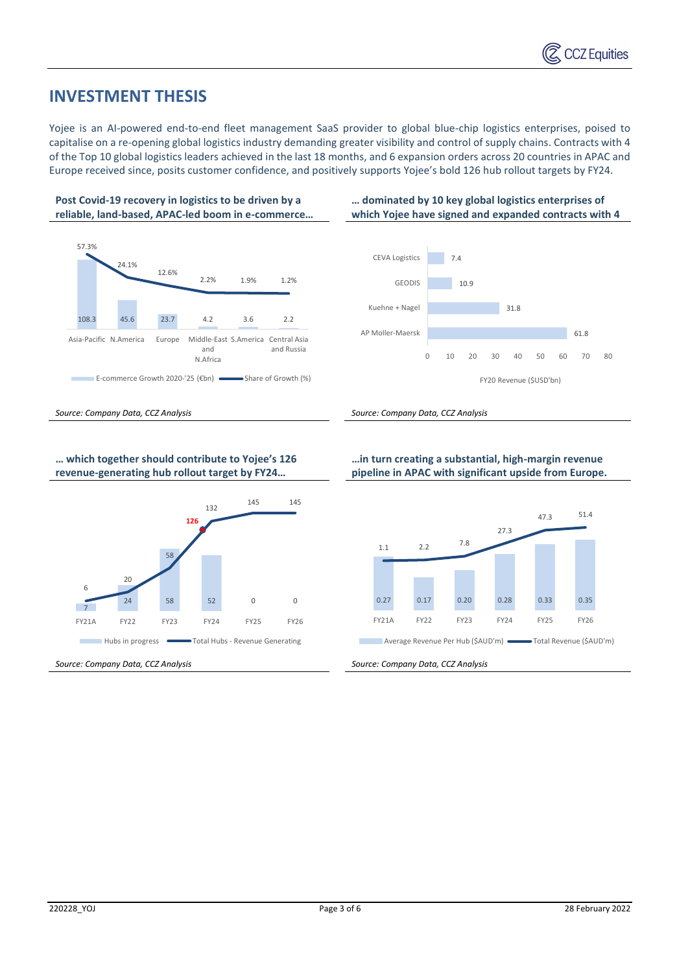## **INVESTMENT THESIS**

Yojee is an AI-powered end-to-end fleet management SaaS provider to global blue-chip logistics enterprises, poised to capitalise on a re-opening global logistics industry demanding greater visibility and control of supply chains. Contracts with 4 of the Top 10 global logistics leaders achieved in the last 18 months, and 6 expansion orders across 20 countries in APAC and Europe received since, posits customer confidence, and positively supports Yojee's bold 126 hub rollout targets by FY24.



**… which together should contribute to Yojee's 126 revenue-generating hub rollout target by FY24…** 



**…in turn creating a substantial, high-margin revenue pipeline in APAC with significant upside from Europe.**

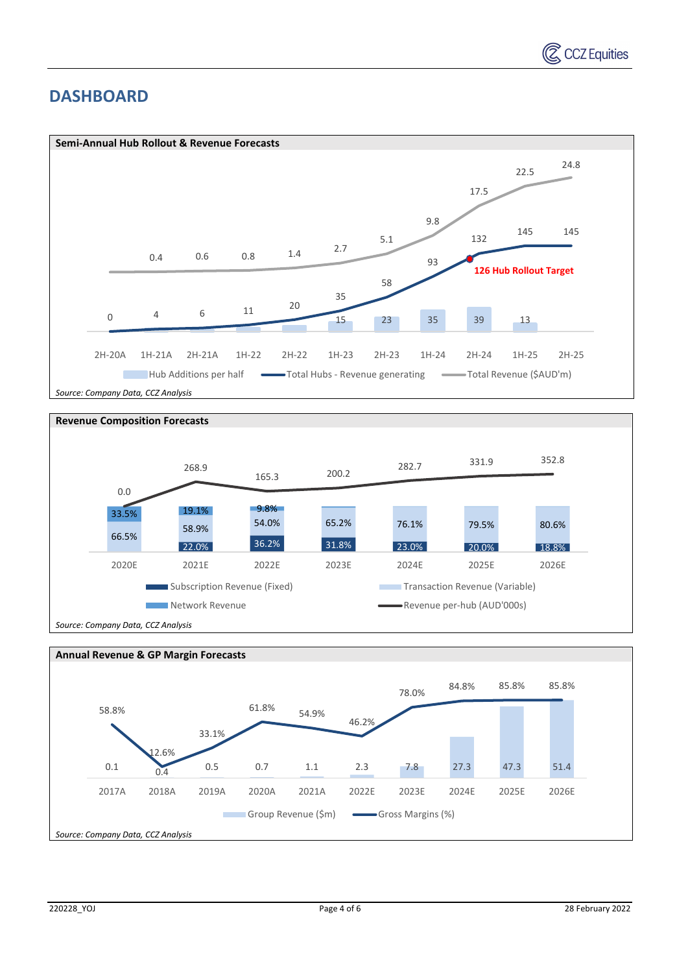

## **DASHBOARD**





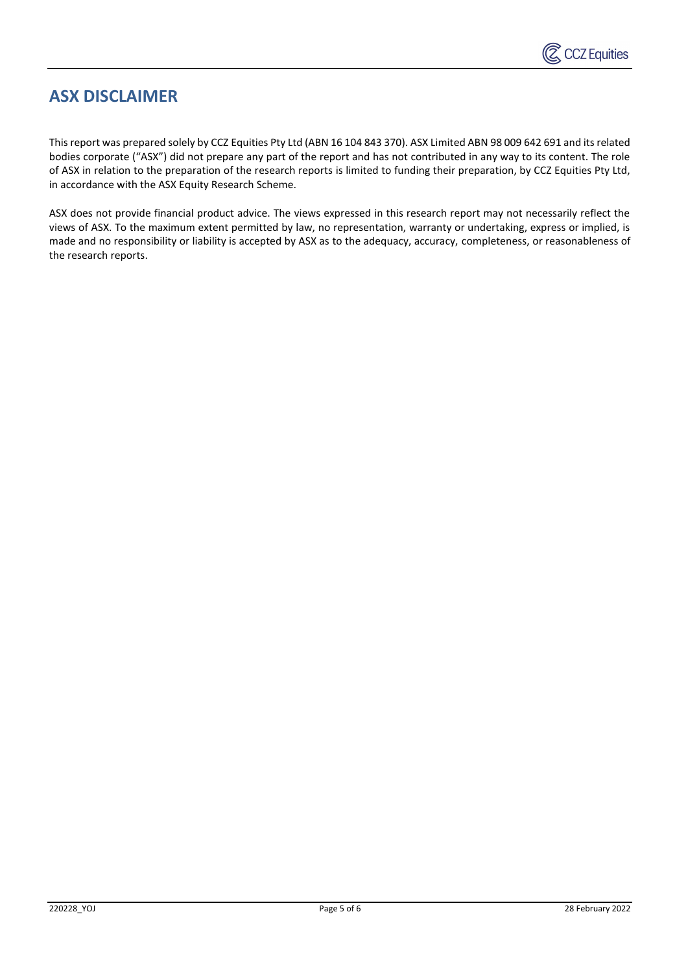

# **ASX DISCLAIMER**

This report was prepared solely by CCZ Equities Pty Ltd (ABN 16 104 843 370). ASX Limited ABN 98 009 642 691 and its related bodies corporate ("ASX") did not prepare any part of the report and has not contributed in any way to its content. The role of ASX in relation to the preparation of the research reports is limited to funding their preparation, by CCZ Equities Pty Ltd, in accordance with the ASX Equity Research Scheme.

ASX does not provide financial product advice. The views expressed in this research report may not necessarily reflect the views of ASX. To the maximum extent permitted by law, no representation, warranty or undertaking, express or implied, is made and no responsibility or liability is accepted by ASX as to the adequacy, accuracy, completeness, or reasonableness of the research reports.